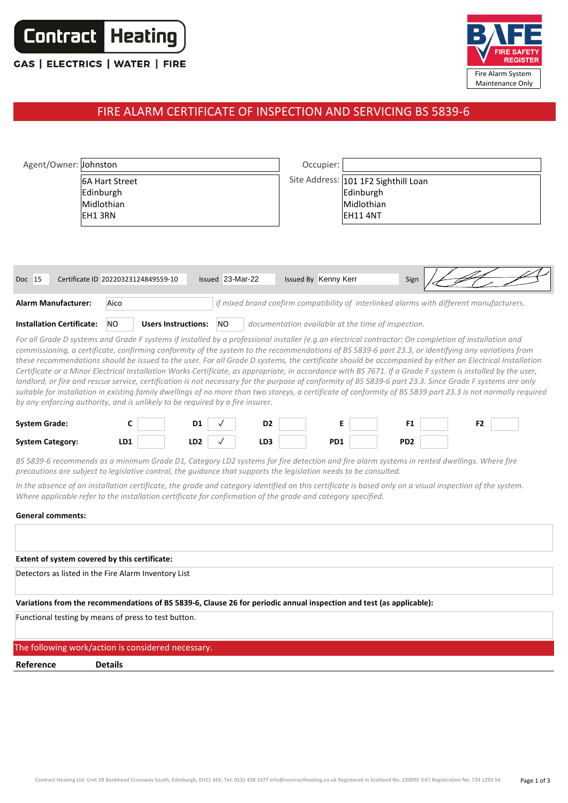

## **CAS | ELECTRICS | WATER | FIRE**



## FIRE ALARM CERTIFICATE OF INSPECTION AND SERVICING BS 5839-6

| Agent/Owner: Johnston                                                                                                                                                                                                                                                                                                                                                                                                                                                                                                                                                                                                                                                                                                                                                                                                                                                                                                                                                                                                                                 |  |                |                                     |                            |                  |                | Occupier:                                                                                |     |  |                 |  |                |  |
|-------------------------------------------------------------------------------------------------------------------------------------------------------------------------------------------------------------------------------------------------------------------------------------------------------------------------------------------------------------------------------------------------------------------------------------------------------------------------------------------------------------------------------------------------------------------------------------------------------------------------------------------------------------------------------------------------------------------------------------------------------------------------------------------------------------------------------------------------------------------------------------------------------------------------------------------------------------------------------------------------------------------------------------------------------|--|----------------|-------------------------------------|----------------------------|------------------|----------------|------------------------------------------------------------------------------------------|-----|--|-----------------|--|----------------|--|
| <b>6A Hart Street</b><br>Edinburgh<br>Midlothian<br>EH1 3RN                                                                                                                                                                                                                                                                                                                                                                                                                                                                                                                                                                                                                                                                                                                                                                                                                                                                                                                                                                                           |  |                |                                     |                            |                  |                | Site Address: 101 1F2 Sighthill Loan<br>Edinburgh<br>Midlothian<br>EH11 4NT              |     |  |                 |  |                |  |
| Doc 15                                                                                                                                                                                                                                                                                                                                                                                                                                                                                                                                                                                                                                                                                                                                                                                                                                                                                                                                                                                                                                                |  |                | Certificate ID 20220323124849559-10 |                            | Issued 23-Mar-22 |                | Issued By Kenny Kerr                                                                     |     |  | Sign            |  |                |  |
| <b>Alarm Manufacturer:</b>                                                                                                                                                                                                                                                                                                                                                                                                                                                                                                                                                                                                                                                                                                                                                                                                                                                                                                                                                                                                                            |  | Aico           |                                     |                            |                  |                | if mixed brand confirm compatibility of interlinked alarms with different manufacturers. |     |  |                 |  |                |  |
| <b>Installation Certificate:</b>                                                                                                                                                                                                                                                                                                                                                                                                                                                                                                                                                                                                                                                                                                                                                                                                                                                                                                                                                                                                                      |  | NO.            |                                     | <b>Users Instructions:</b> | <b>NO</b>        |                | documentation available at the time of inspection.                                       |     |  |                 |  |                |  |
| For all Grade D systems and Grade F systems if installed by a professional installer (e.g.an electrical contractor: On completion of installation and<br>commissioning, a certificate, confirming conformity of the system to the recommendations of BS 5839-6 part 23.3, or identifying any variations from<br>these recommendations should be issued to the user. For all Grade D systems, the certificate should be accompanied by either an Electrical Installation<br>Certificate or a Minor Electrical Installation Works Certificate, as appropriate, in accordance with BS 7671. If a Grade F system is installed by the user,<br>landlord, or fire and rescue service, certification is not necessary for the purpose of conformity of BS 5839-6 part 23.3. Since Grade F systems are only<br>suitable for installation in existing family dwellings of no more than two storeys, a certificate of conformity of BS 5839 part 23.3 is not normally required<br>by any enforcing authority, and is unlikely to be required by a fire insurer. |  |                |                                     |                            |                  |                |                                                                                          |     |  |                 |  |                |  |
| <b>System Grade:</b>                                                                                                                                                                                                                                                                                                                                                                                                                                                                                                                                                                                                                                                                                                                                                                                                                                                                                                                                                                                                                                  |  | c              |                                     | D1                         |                  | D <sub>2</sub> |                                                                                          | Е   |  | F1              |  | F <sub>2</sub> |  |
| <b>System Category:</b>                                                                                                                                                                                                                                                                                                                                                                                                                                                                                                                                                                                                                                                                                                                                                                                                                                                                                                                                                                                                                               |  | LD1            |                                     | LD <sub>2</sub>            |                  | LD3            |                                                                                          | PD1 |  | PD <sub>2</sub> |  |                |  |
| BS 5839-6 recommends as a minimum Grade D1, Category LD2 systems for fire detection and fire alarm systems in rented dwellings. Where fire<br>precautions are subject to legislative control, the guidance that supports the legislation needs to be consulted.                                                                                                                                                                                                                                                                                                                                                                                                                                                                                                                                                                                                                                                                                                                                                                                       |  |                |                                     |                            |                  |                |                                                                                          |     |  |                 |  |                |  |
| In the absence of an installation certificate, the grade and category identified on this certificate is based only on a visual inspection of the system.<br>Where applicable refer to the installation certificate for confirmation of the grade and category specified.                                                                                                                                                                                                                                                                                                                                                                                                                                                                                                                                                                                                                                                                                                                                                                              |  |                |                                     |                            |                  |                |                                                                                          |     |  |                 |  |                |  |
| <b>General comments:</b>                                                                                                                                                                                                                                                                                                                                                                                                                                                                                                                                                                                                                                                                                                                                                                                                                                                                                                                                                                                                                              |  |                |                                     |                            |                  |                |                                                                                          |     |  |                 |  |                |  |
|                                                                                                                                                                                                                                                                                                                                                                                                                                                                                                                                                                                                                                                                                                                                                                                                                                                                                                                                                                                                                                                       |  |                |                                     |                            |                  |                |                                                                                          |     |  |                 |  |                |  |
| Extent of system covered by this certificate:                                                                                                                                                                                                                                                                                                                                                                                                                                                                                                                                                                                                                                                                                                                                                                                                                                                                                                                                                                                                         |  |                |                                     |                            |                  |                |                                                                                          |     |  |                 |  |                |  |
| Detectors as listed in the Fire Alarm Inventory List                                                                                                                                                                                                                                                                                                                                                                                                                                                                                                                                                                                                                                                                                                                                                                                                                                                                                                                                                                                                  |  |                |                                     |                            |                  |                |                                                                                          |     |  |                 |  |                |  |
|                                                                                                                                                                                                                                                                                                                                                                                                                                                                                                                                                                                                                                                                                                                                                                                                                                                                                                                                                                                                                                                       |  |                |                                     |                            |                  |                |                                                                                          |     |  |                 |  |                |  |
| Variations from the recommendations of BS 5839-6, Clause 26 for periodic annual inspection and test (as applicable):                                                                                                                                                                                                                                                                                                                                                                                                                                                                                                                                                                                                                                                                                                                                                                                                                                                                                                                                  |  |                |                                     |                            |                  |                |                                                                                          |     |  |                 |  |                |  |
| Functional testing by means of press to test button.                                                                                                                                                                                                                                                                                                                                                                                                                                                                                                                                                                                                                                                                                                                                                                                                                                                                                                                                                                                                  |  |                |                                     |                            |                  |                |                                                                                          |     |  |                 |  |                |  |
| The following work/action is considered necessary.                                                                                                                                                                                                                                                                                                                                                                                                                                                                                                                                                                                                                                                                                                                                                                                                                                                                                                                                                                                                    |  |                |                                     |                            |                  |                |                                                                                          |     |  |                 |  |                |  |
| Reference                                                                                                                                                                                                                                                                                                                                                                                                                                                                                                                                                                                                                                                                                                                                                                                                                                                                                                                                                                                                                                             |  | <b>Details</b> |                                     |                            |                  |                |                                                                                          |     |  |                 |  |                |  |
|                                                                                                                                                                                                                                                                                                                                                                                                                                                                                                                                                                                                                                                                                                                                                                                                                                                                                                                                                                                                                                                       |  |                |                                     |                            |                  |                |                                                                                          |     |  |                 |  |                |  |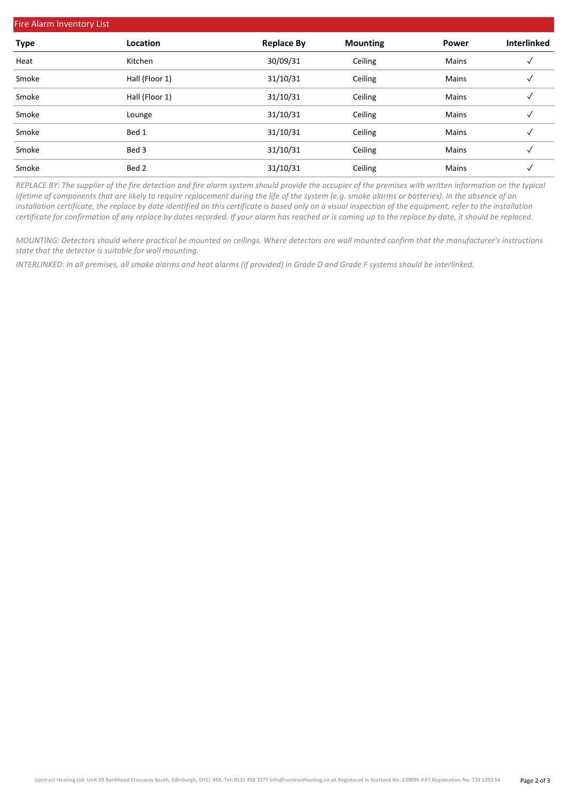| <b>Fire Alarm Inventory List</b> |                |                   |                 |              |                    |  |  |  |  |  |
|----------------------------------|----------------|-------------------|-----------------|--------------|--------------------|--|--|--|--|--|
| <b>Type</b>                      | Location       | <b>Replace By</b> | <b>Mounting</b> | <b>Power</b> | <b>Interlinked</b> |  |  |  |  |  |
| Heat                             | Kitchen        | 30/09/31          | Ceiling         | Mains        |                    |  |  |  |  |  |
| Smoke                            | Hall (Floor 1) | 31/10/31          | Ceiling         | Mains        | √                  |  |  |  |  |  |
| Smoke                            | Hall (Floor 1) | 31/10/31          | Ceiling         | Mains        | $\checkmark$       |  |  |  |  |  |
| Smoke                            | Lounge         | 31/10/31          | Ceiling         | Mains        | √                  |  |  |  |  |  |
| Smoke                            | Bed 1          | 31/10/31          | Ceiling         | <b>Mains</b> | √                  |  |  |  |  |  |
| Smoke                            | Bed 3          | 31/10/31          | Ceiling         | Mains        | √                  |  |  |  |  |  |
| Smoke                            | Bed 2          | 31/10/31          | Ceiling         | <b>Mains</b> | √                  |  |  |  |  |  |

*REPLACE BY: The supplier of the fire detection and fire alarm system should provide the occupier of the premises with written information on the typical lifetime of components that are likely to require replacement during the life of the system (e.g. smoke alarms or batteries). In the absence of an installation certificate, the replace by date identified on this certificate is based only on a visual inspection of the equipment, refer to the installation certificate for confirmation of any replace by dates recorded. If your alarm has reached or is coming up to the replace by date, it should be replaced.*

*MOUNTING: Detectors should where practical be mounted on ceilings. Where detectors are wall mounted confirm that the manufacturer's instructions state that the detector is suitable for wall mounting.*

*INTERLINKED: In all premises, all smoke alarms and heat alarms (if provided) in Grade D and Grade F systems should be interlinked.*